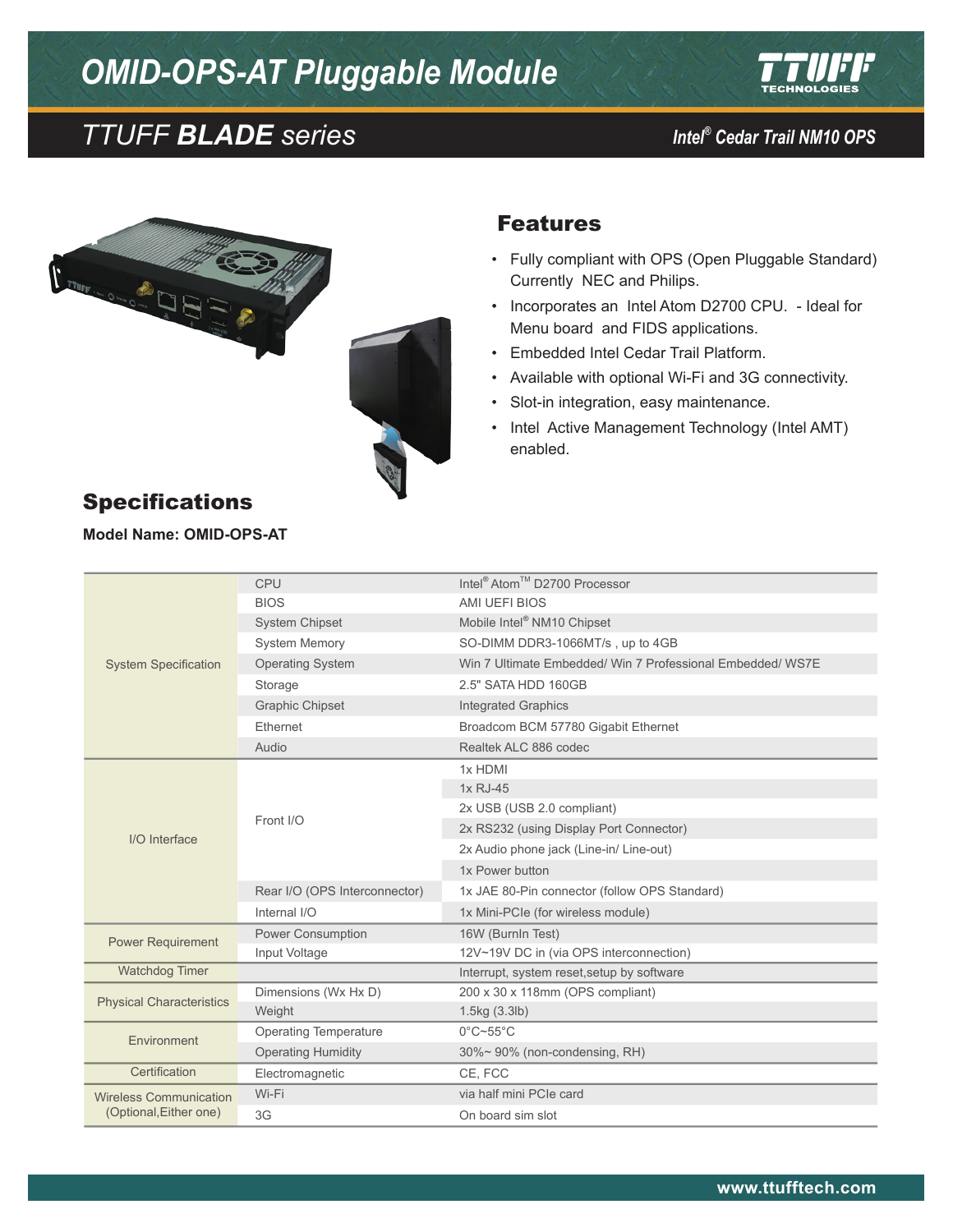# *OMID-OPS-AT Pluggable Module*







**Model Name: OMID-OPS-AT**

#### Features

- • Fully compliant with OPS (Open Pluggable Standard) Currently NEC and Philips.
- • Incorporates an Intel Atom D2700 CPU. Ideal for Menu board and FIDS applications.
- • Embedded Intel Cedar Trail Platform.
- • Available with optional Wi-Fi and 3G connectivity.
- Slot-in integration, easy maintenance.
- Intel Active Management Technology (Intel AMT) enabled.

|                                 | CPU                           | Intel <sup>®</sup> Atom <sup>™</sup> D2700 Processor       |
|---------------------------------|-------------------------------|------------------------------------------------------------|
| <b>System Specification</b>     | <b>BIOS</b>                   | AMI UEFI BIOS                                              |
|                                 | <b>System Chipset</b>         | Mobile Intel <sup>®</sup> NM10 Chipset                     |
|                                 | <b>System Memory</b>          | SO-DIMM DDR3-1066MT/s, up to 4GB                           |
|                                 | <b>Operating System</b>       | Win 7 Ultimate Embedded/ Win 7 Professional Embedded/ WS7E |
|                                 | Storage                       | 2.5" SATA HDD 160GB                                        |
|                                 | <b>Graphic Chipset</b>        | <b>Integrated Graphics</b>                                 |
|                                 | Ethernet                      | Broadcom BCM 57780 Gigabit Ethernet                        |
| I/O Interface                   | Audio                         | Realtek ALC 886 codec                                      |
|                                 |                               | 1x HDMI                                                    |
|                                 | Front I/O                     | 1x RJ-45                                                   |
|                                 |                               | 2x USB (USB 2.0 compliant)                                 |
|                                 |                               | 2x RS232 (using Display Port Connector)                    |
|                                 |                               | 2x Audio phone jack (Line-in/ Line-out)                    |
|                                 |                               | 1x Power button                                            |
|                                 | Rear I/O (OPS Interconnector) | 1x JAE 80-Pin connector (follow OPS Standard)              |
| <b>Power Requirement</b>        | Internal I/O                  | 1x Mini-PCIe (for wireless module)                         |
|                                 | <b>Power Consumption</b>      | 16W (BurnIn Test)                                          |
|                                 | Input Voltage                 | 12V~19V DC in (via OPS interconnection)                    |
| <b>Watchdog Timer</b>           |                               | Interrupt, system reset, setup by software                 |
| <b>Physical Characteristics</b> | Dimensions (Wx Hx D)          | 200 x 30 x 118mm (OPS compliant)                           |
| Environment                     | Weight                        | 1.5kg (3.3lb)                                              |
|                                 | <b>Operating Temperature</b>  | $0^{\circ}$ C~55 $^{\circ}$ C                              |
|                                 | <b>Operating Humidity</b>     | 30%~90% (non-condensing, RH)                               |
|                                 |                               |                                                            |
| Certification                   | Electromagnetic               | CE, FCC                                                    |
| <b>Wireless Communication</b>   | Wi-Fi                         | via half mini PCIe card                                    |